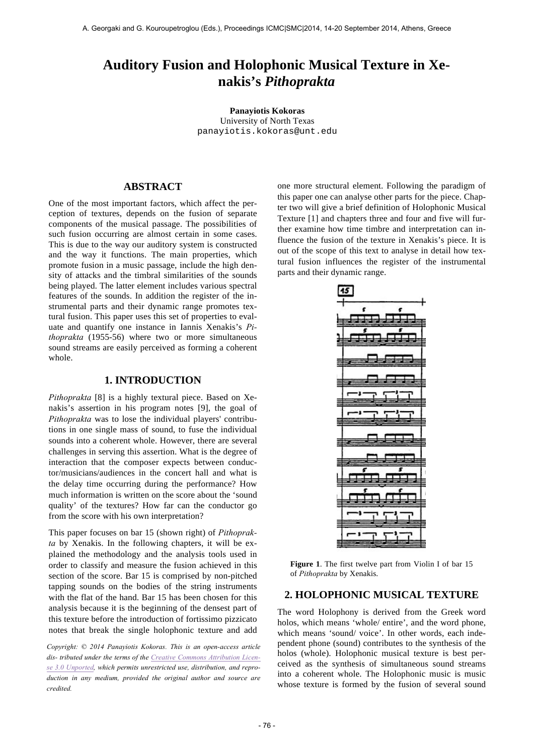# **Auditory Fusion and Holophonic Musical Texture in Xenakis's** *Pithoprakta*

**Panayiotis Kokoras** University of North Texas panayiotis.kokoras@unt.edu

# **ABSTRACT**

One of the most important factors, which affect the perception of textures, depends on the fusion of separate components of the musical passage. The possibilities of such fusion occurring are almost certain in some cases. This is due to the way our auditory system is constructed and the way it functions. The main properties, which promote fusion in a music passage, include the high density of attacks and the timbral similarities of the sounds being played. The latter element includes various spectral features of the sounds. In addition the register of the instrumental parts and their dynamic range promotes textural fusion. This paper uses this set of properties to evaluate and quantify one instance in Iannis Xenakis's *Pithoprakta* (1955-56) where two or more simultaneous sound streams are easily perceived as forming a coherent whole.

## **1. INTRODUCTION**

*Pithoprakta* [8] is a highly textural piece. Based on Xenakis's assertion in his program notes [9], the goal of *Pithoprakta* was to lose the individual players' contributions in one single mass of sound, to fuse the individual sounds into a coherent whole. However, there are several challenges in serving this assertion. What is the degree of interaction that the composer expects between conductor/musicians/audiences in the concert hall and what is the delay time occurring during the performance? How much information is written on the score about the 'sound quality' of the textures? How far can the conductor go from the score with his own interpretation?

This paper focuses on bar 15 (shown right) of *Pithoprakta* by Xenakis. In the following chapters, it will be explained the methodology and the analysis tools used in order to classify and measure the fusion achieved in this section of the score. Bar 15 is comprised by non-pitched tapping sounds on the bodies of the string instruments with the flat of the hand. Bar 15 has been chosen for this analysis because it is the beginning of the densest part of this texture before the introduction of fortissimo pizzicato notes that break the single holophonic texture and add

*Copyright: © 2014 Panayiotis Kokoras. This is an open-access article dis- tributed under the terms of the Creative Commons Attribution License 3.0 Unported, which permits unrestricted use, distribution, and reproduction in any medium, provided the original author and source are credited.*

one more structural element. Following the paradigm of this paper one can analyse other parts for the piece. Chapter two will give a brief definition of Holophonic Musical Texture [1] and chapters three and four and five will further examine how time timbre and interpretation can influence the fusion of the texture in Xenakis's piece. It is out of the scope of this text to analyse in detail how textural fusion influences the register of the instrumental parts and their dynamic range.



**Figure 1**. The first twelve part from Violin I of bar 15 of *Pithoprakta* by Xenakis.

### **2. HOLOPHONIC MUSICAL TEXTURE**

The word Holophony is derived from the Greek word holos, which means 'whole/ entire', and the word phone, which means 'sound/ voice'. In other words, each independent phone (sound) contributes to the synthesis of the holos (whole). Holophonic musical texture is best perceived as the synthesis of simultaneous sound streams into a coherent whole. The Holophonic music is music whose texture is formed by the fusion of several sound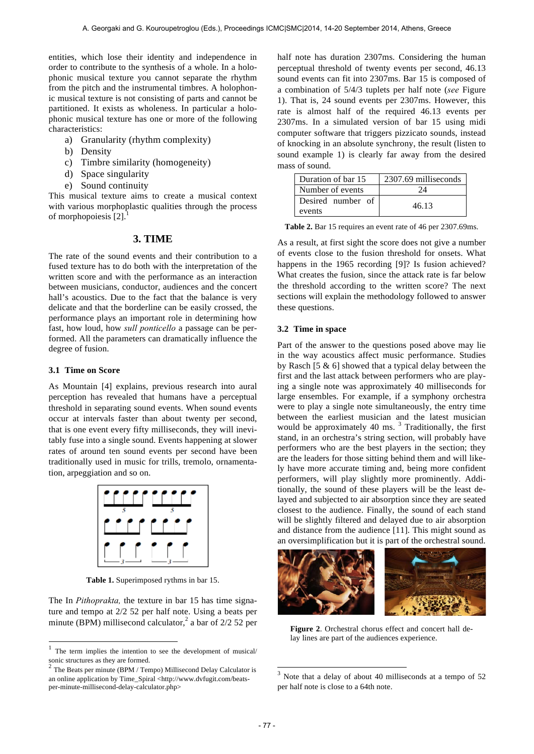entities, which lose their identity and independence in order to contribute to the synthesis of a whole. In a holophonic musical texture you cannot separate the rhythm from the pitch and the instrumental timbres. A holophonic musical texture is not consisting of parts and cannot be partitioned. It exists as wholeness. In particular a holophonic musical texture has one or more of the following characteristics:

- a) Granularity (rhythm complexity)
- b) Density
- c) Timbre similarity (homogeneity)
- d) Space singularity
- e) Sound continuity

This musical texture aims to create a musical context with various morphoplastic qualities through the process of morphopoiesis [2].

#### **3. TIME**

The rate of the sound events and their contribution to a fused texture has to do both with the interpretation of the written score and with the performance as an interaction between musicians, conductor, audiences and the concert hall's acoustics. Due to the fact that the balance is very delicate and that the borderline can be easily crossed, the performance plays an important role in determining how fast, how loud, how *sull ponticello* a passage can be performed. All the parameters can dramatically influence the degree of fusion.

### **3.1 Time on Score**

l

As Mountain [4] explains, previous research into aural perception has revealed that humans have a perceptual threshold in separating sound events. When sound events occur at intervals faster than about twenty per second, that is one event every fifty milliseconds, they will inevitably fuse into a single sound. Events happening at slower rates of around ten sound events per second have been traditionally used in music for trills, tremolo, ornamentation, arpeggiation and so on.



**Table 1.** Superimposed rythms in bar 15.

The In *Pithoprakta,* the texture in bar 15 has time signature and tempo at 2/2 52 per half note. Using a beats per minute (BPM) millisecond calculator,<sup>2</sup> a bar of  $2/2$  52 per half note has duration 2307ms. Considering the human perceptual threshold of twenty events per second, 46.13 sound events can fit into 2307ms. Bar 15 is composed of a combination of 5/4/3 tuplets per half note (*see* Figure 1). That is, 24 sound events per 2307ms. However, this rate is almost half of the required 46.13 events per 2307ms. In a simulated version of bar 15 using midi computer software that triggers pizzicato sounds, instead of knocking in an absolute synchrony, the result (listen to sound example 1) is clearly far away from the desired mass of sound.

| Duration of bar 15 | 2307.69 milliseconds |  |
|--------------------|----------------------|--|
| Number of events   | 24                   |  |
| Desired number of  | 46.13                |  |
| events             |                      |  |

**Table 2.** Bar 15 requires an event rate of 46 per 2307.69ms.

As a result, at first sight the score does not give a number of events close to the fusion threshold for onsets. What happens in the 1965 recording [9]? Is fusion achieved? What creates the fusion, since the attack rate is far below the threshold according to the written score? The next sections will explain the methodology followed to answer these questions.

#### **3.2 Time in space**

Part of the answer to the questions posed above may lie in the way acoustics affect music performance. Studies by Rasch [5 & 6] showed that a typical delay between the first and the last attack between performers who are playing a single note was approximately 40 milliseconds for large ensembles. For example, if a symphony orchestra were to play a single note simultaneously, the entry time between the earliest musician and the latest musician would be approximately 40 ms.<sup>3</sup> Traditionally, the first stand, in an orchestra's string section, will probably have performers who are the best players in the section; they are the leaders for those sitting behind them and will likely have more accurate timing and, being more confident performers, will play slightly more prominently. Additionally, the sound of these players will be the least delayed and subjected to air absorption since they are seated closest to the audience. Finally, the sound of each stand will be slightly filtered and delayed due to air absorption and distance from the audience [11]. This might sound as an oversimplification but it is part of the orchestral sound.



**Figure 2**. Orchestral chorus effect and concert hall delay lines are part of the audiences experience.

1

 $1$  The term implies the intention to see the development of musical/ sonic structures as they are formed.

<sup>2</sup> The Beats per minute (BPM / Tempo) Millisecond Delay Calculator is an online application by Time\_Spiral <http://www.dvfugit.com/beatsper-minute-millisecond-delay-calculator.php>

Note that a delay of about 40 milliseconds at a tempo of 52 per half note is close to a 64th note.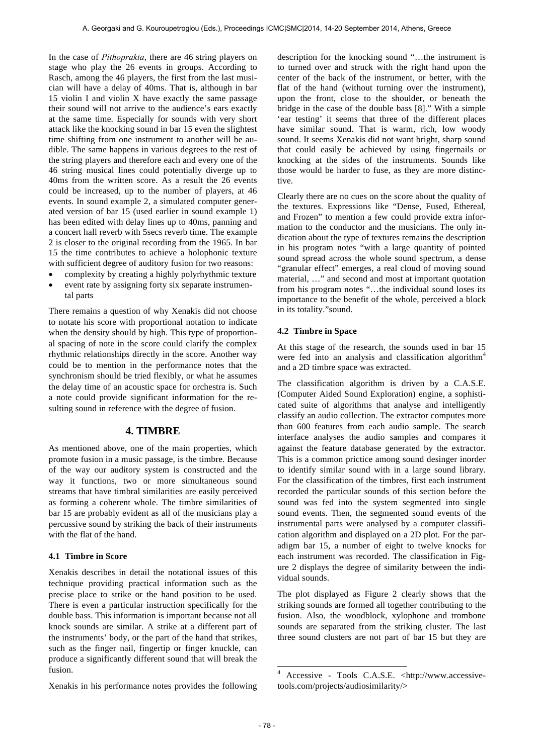In the case of *Pithoprakta*, there are 46 string players on stage who play the 26 events in groups. According to Rasch, among the 46 players, the first from the last musician will have a delay of 40ms. That is, although in bar 15 violin I and violin X have exactly the same passage their sound will not arrive to the audience's ears exactly at the same time. Especially for sounds with very short attack like the knocking sound in bar 15 even the slightest time shifting from one instrument to another will be audible. The same happens in various degrees to the rest of the string players and therefore each and every one of the 46 string musical lines could potentially diverge up to 40ms from the written score. As a result the 26 events could be increased, up to the number of players, at 46 events. In sound example 2, a simulated computer generated version of bar 15 (used earlier in sound example 1) has been edited with delay lines up to 40ms, panning and a concert hall reverb with 5secs reverb time. The example 2 is closer to the original recording from the 1965. In bar 15 the time contributes to achieve a holophonic texture with sufficient degree of auditory fusion for two reasons:

- complexity by creating a highly polyrhythmic texture
- event rate by assigning forty six separate instrumental parts

There remains a question of why Xenakis did not choose to notate his score with proportional notation to indicate when the density should by high. This type of proportional spacing of note in the score could clarify the complex rhythmic relationships directly in the score. Another way could be to mention in the performance notes that the synchronism should be tried flexibly, or what he assumes the delay time of an acoustic space for orchestra is. Such a note could provide significant information for the resulting sound in reference with the degree of fusion.

# **4. TIMBRE**

As mentioned above, one of the main properties, which promote fusion in a music passage, is the timbre. Because of the way our auditory system is constructed and the way it functions, two or more simultaneous sound streams that have timbral similarities are easily perceived as forming a coherent whole. The timbre similarities of bar 15 are probably evident as all of the musicians play a percussive sound by striking the back of their instruments with the flat of the hand.

### **4.1 Timbre in Score**

Xenakis describes in detail the notational issues of this technique providing practical information such as the precise place to strike or the hand position to be used. There is even a particular instruction specifically for the double bass. This information is important because not all knock sounds are similar. A strike at a different part of the instruments' body, or the part of the hand that strikes, such as the finger nail, fingertip or finger knuckle, can produce a significantly different sound that will break the fusion.

Xenakis in his performance notes provides the following

description for the knocking sound "…the instrument is to turned over and struck with the right hand upon the center of the back of the instrument, or better, with the flat of the hand (without turning over the instrument), upon the front, close to the shoulder, or beneath the bridge in the case of the double bass [8]." With a simple 'ear testing' it seems that three of the different places have similar sound. That is warm, rich, low woody sound. It seems Xenakis did not want bright, sharp sound that could easily be achieved by using fingernails or knocking at the sides of the instruments. Sounds like those would be harder to fuse, as they are more distinctive.

Clearly there are no cues on the score about the quality of the textures. Expressions like "Dense, Fused, Ethereal, and Frozen" to mention a few could provide extra information to the conductor and the musicians. The only indication about the type of textures remains the description in his program notes "with a large quantity of pointed sound spread across the whole sound spectrum, a dense "granular effect" emerges, a real cloud of moving sound material, …" and second and most at important quotation from his program notes "…the individual sound loses its importance to the benefit of the whole, perceived a block in its totality."sound.

### **4.2 Timbre in Space**

At this stage of the research, the sounds used in bar 15 were fed into an analysis and classification algorithm<sup>4</sup> and a 2D timbre space was extracted.

The classification algorithm is driven by a C.A.S.E. (Computer Aided Sound Exploration) engine, a sophisticated suite of algorithms that analyse and intelligently classify an audio collection. The extractor computes more than 600 features from each audio sample. The search interface analyses the audio samples and compares it against the feature database generated by the extractor. This is a common prictice among sound desinger inorder to identify similar sound with in a large sound library. For the classification of the timbres, first each instrument recorded the particular sounds of this section before the sound was fed into the system segmented into single sound events. Then, the segmented sound events of the instrumental parts were analysed by a computer classification algorithm and displayed on a 2D plot. For the paradigm bar 15, a number of eight to twelve knocks for each instrument was recorded. The classification in Figure 2 displays the degree of similarity between the individual sounds.

The plot displayed as Figure 2 clearly shows that the striking sounds are formed all together contributing to the fusion. Also, the woodblock, xylophone and trombone sounds are separated from the striking cluster. The last three sound clusters are not part of bar 15 but they are

**.** 

<sup>4</sup> Accessive - Tools C.A.S.E. <http://www.accessivetools.com/projects/audiosimilarity/>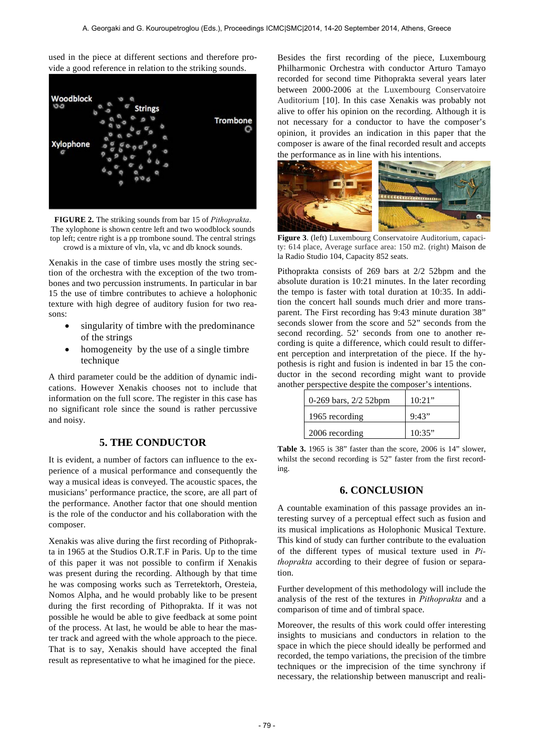used in the piece at different sections and therefore provide a good reference in relation to the striking sounds.



**FIGURE 2.** The striking sounds from bar 15 of *Pithoprakta*. The xylophone is shown centre left and two woodblock sounds top left; centre right is a pp trombone sound. The central strings crowd is a mixture of vln, vla, vc and db knock sounds.

Xenakis in the case of timbre uses mostly the string section of the orchestra with the exception of the two trombones and two percussion instruments. In particular in bar 15 the use of timbre contributes to achieve a holophonic texture with high degree of auditory fusion for two reasons:

- singularity of timbre with the predominance of the strings
- homogeneity by the use of a single timbre technique

A third parameter could be the addition of dynamic indications. However Xenakis chooses not to include that information on the full score. The register in this case has no significant role since the sound is rather percussive and noisy.

# **5. THE CONDUCTOR**

It is evident, a number of factors can influence to the experience of a musical performance and consequently the way a musical ideas is conveyed. The acoustic spaces, the musicians' performance practice, the score, are all part of the performance. Another factor that one should mention is the role of the conductor and his collaboration with the composer.

Xenakis was alive during the first recording of Pithoprakta in 1965 at the Studios O.R.T.F in Paris. Up to the time of this paper it was not possible to confirm if Xenakis was present during the recording. Although by that time he was composing works such as Terretektorh, Oresteia, Nomos Alpha, and he would probably like to be present during the first recording of Pithoprakta. If it was not possible he would be able to give feedback at some point of the process. At last, he would be able to hear the master track and agreed with the whole approach to the piece. That is to say, Xenakis should have accepted the final result as representative to what he imagined for the piece.

Besides the first recording of the piece, Luxembourg Philharmonic Orchestra with conductor Arturo Tamayo recorded for second time Pithoprakta several years later between 2000-2006 at the Luxembourg Conservatoire Auditorium [10]. In this case Xenakis was probably not alive to offer his opinion on the recording. Although it is not necessary for a conductor to have the composer's opinion, it provides an indication in this paper that the composer is aware of the final recorded result and accepts the performance as in line with his intentions.



**Figure 3**. (left) Luxembourg Conservatoire Auditorium, capacity: 614 place, Average surface area: 150 m2. (right) Maison de la Radio Studio 104, Capacity 852 seats.

Pithoprakta consists of 269 bars at 2/2 52bpm and the absolute duration is 10:21 minutes. In the later recording the tempo is faster with total duration at 10:35. In addition the concert hall sounds much drier and more transparent. The First recording has 9:43 minute duration 38" seconds slower from the score and 52" seconds from the second recording. 52' seconds from one to another recording is quite a difference, which could result to different perception and interpretation of the piece. If the hypothesis is right and fusion is indented in bar 15 the conductor in the second recording might want to provide another perspective despite the composer's intentions.

| 0-269 bars, $2/2$ 52bpm | 10:21" |
|-------------------------|--------|
| 1965 recording          | 9:43"  |
| 2006 recording          | 10:35" |

**Table 3.** 1965 is 38" faster than the score, 2006 is 14" slower, whilst the second recording is 52" faster from the first recording.

### **6. CONCLUSION**

A countable examination of this passage provides an interesting survey of a perceptual effect such as fusion and its musical implications as Holophonic Musical Texture. This kind of study can further contribute to the evaluation of the different types of musical texture used in *Pithoprakta* according to their degree of fusion or separation.

Further development of this methodology will include the analysis of the rest of the textures in *Pithoprakta* and a comparison of time and of timbral space.

Moreover, the results of this work could offer interesting insights to musicians and conductors in relation to the space in which the piece should ideally be performed and recorded, the tempo variations, the precision of the timbre techniques or the imprecision of the time synchrony if necessary, the relationship between manuscript and reali-